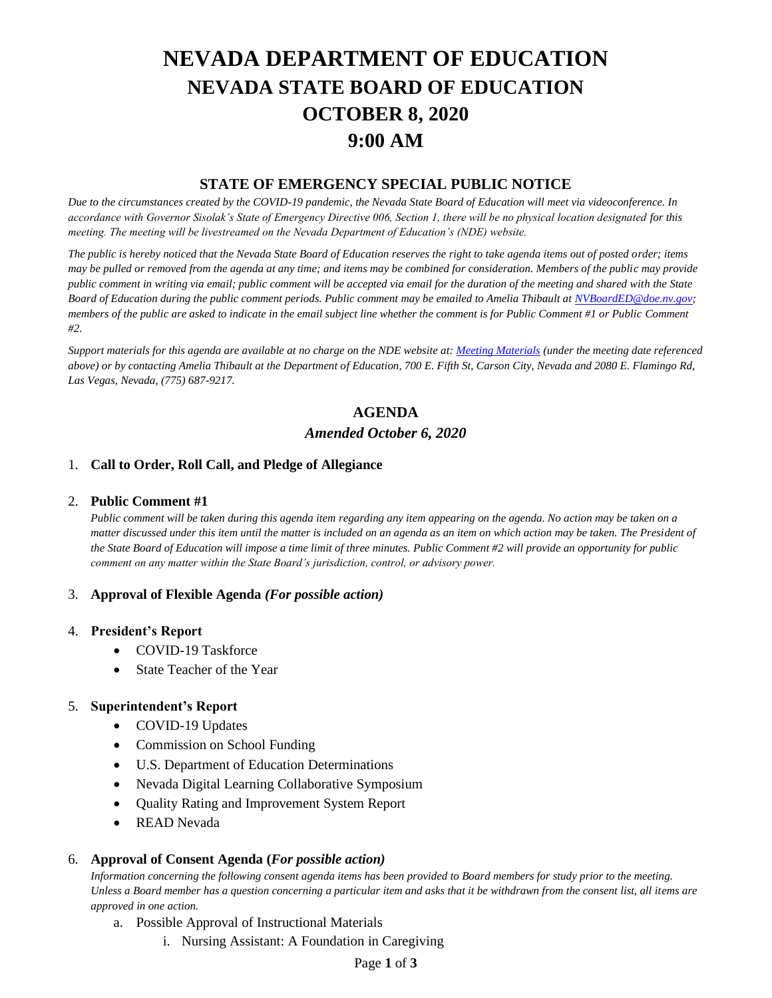# **NEVADA DEPARTMENT OF EDUCATION NEVADA STATE BOARD OF EDUCATION OCTOBER 8, 2020 9:00 AM**

## **STATE OF EMERGENCY SPECIAL PUBLIC NOTICE**

*Due to the circumstances created by the COVID-19 pandemic, the Nevada State Board of Education will meet via videoconference. In accordance with Governor Sisolak's State of Emergency Directive 006, Section 1, there will be no physical location designated for this meeting. The meeting will be livestreamed on the Nevada Department of Education's (NDE) website.* 

*The public is hereby noticed that the Nevada State Board of Education reserves the right to take agenda items out of posted order; items may be pulled or removed from the agenda at any time; and items may be combined for consideration. Members of the public may provide public comment in writing via email; public comment will be accepted via email for the duration of the meeting and shared with the State Board of Education during the public comment periods. Public comment may be emailed to Amelia Thibault at [NVBoardED@doe.nv.gov;](mailto:NVBoardED@doe.nv.gov) members of the public are asked to indicate in the email subject line whether the comment is for Public Comment #1 or Public Comment #2.* 

*Support materials for this agenda are available at no charge on the NDE website at[: Meeting Materials](http://www.doe.nv.gov/Boards_Commissions_Councils/State_Board_of_Education/Meeting_Materials/) (under the meeting date referenced above) or by contacting Amelia Thibault at the Department of Education, 700 E. Fifth St, Carson City, Nevada and 2080 E. Flamingo Rd, Las Vegas, Nevada, (775) 687-9217.*

# **AGENDA** *Amended October 6, 2020*

## 1. **Call to Order, Roll Call, and Pledge of Allegiance**

#### 2. **Public Comment #1**

*Public comment will be taken during this agenda item regarding any item appearing on the agenda. No action may be taken on a matter discussed under this item until the matter is included on an agenda as an item on which action may be taken. The President of the State Board of Education will impose a time limit of three minutes. Public Comment #2 will provide an opportunity for public comment on any matter within the State Board's jurisdiction, control, or advisory power.*

#### 3. **Approval of Flexible Agenda** *(For possible action)*

#### 4. **President's Report**

- COVID-19 Taskforce
- State Teacher of the Year

#### 5. **Superintendent's Report**

- COVID-19 Updates
- Commission on School Funding
- U.S. Department of Education Determinations
- Nevada Digital Learning Collaborative Symposium
- Quality Rating and Improvement System Report
- READ Nevada

#### 6. **Approval of Consent Agenda (***For possible action)*

*Information concerning the following consent agenda items has been provided to Board members for study prior to the meeting. Unless a Board member has a question concerning a particular item and asks that it be withdrawn from the consent list, all items are approved in one action.* 

- a. Possible Approval of Instructional Materials
	- i. Nursing Assistant: A Foundation in Caregiving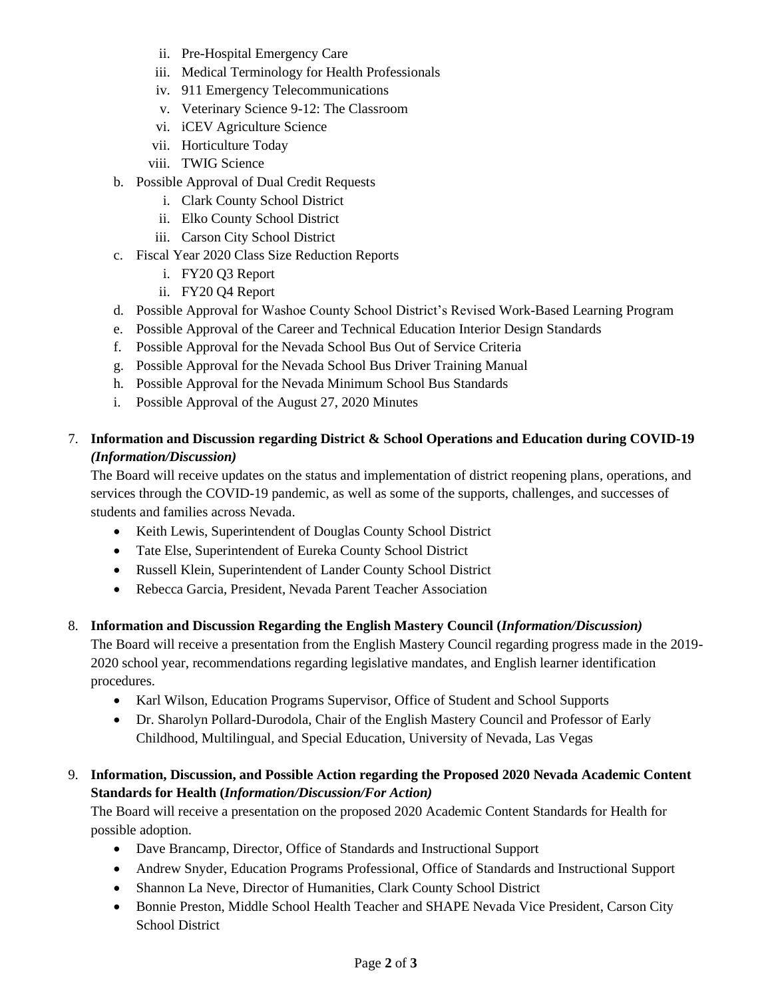- ii. Pre-Hospital Emergency Care
- iii. Medical Terminology for Health Professionals
- iv. 911 Emergency Telecommunications
- v. Veterinary Science 9-12: The Classroom
- vi. iCEV Agriculture Science
- vii. Horticulture Today
- viii. TWIG Science
- b. Possible Approval of Dual Credit Requests
	- i. Clark County School District
	- ii. Elko County School District
	- iii. Carson City School District
- c. Fiscal Year 2020 Class Size Reduction Reports
	- i. FY20 Q3 Report
	- ii. FY20 Q4 Report
- d. Possible Approval for Washoe County School District's Revised Work-Based Learning Program
- e. Possible Approval of the Career and Technical Education Interior Design Standards
- f. Possible Approval for the Nevada School Bus Out of Service Criteria
- g. Possible Approval for the Nevada School Bus Driver Training Manual
- h. Possible Approval for the Nevada Minimum School Bus Standards
- i. Possible Approval of the August 27, 2020 Minutes

# 7. **Information and Discussion regarding District & School Operations and Education during COVID-19** *(Information/Discussion)*

The Board will receive updates on the status and implementation of district reopening plans, operations, and services through the COVID-19 pandemic, as well as some of the supports, challenges, and successes of students and families across Nevada.

- Keith Lewis, Superintendent of Douglas County School District
- Tate Else, Superintendent of Eureka County School District
- Russell Klein, Superintendent of Lander County School District
- Rebecca Garcia, President, Nevada Parent Teacher Association

# 8. **Information and Discussion Regarding the English Mastery Council (***Information/Discussion)*

The Board will receive a presentation from the English Mastery Council regarding progress made in the 2019- 2020 school year, recommendations regarding legislative mandates, and English learner identification procedures.

- Karl Wilson, Education Programs Supervisor, Office of Student and School Supports
- Dr. Sharolyn Pollard-Durodola, Chair of the English Mastery Council and Professor of Early Childhood, Multilingual, and Special Education, University of Nevada, Las Vegas

# 9. **Information, Discussion, and Possible Action regarding the Proposed 2020 Nevada Academic Content Standards for Health (***Information/Discussion/For Action)*

The Board will receive a presentation on the proposed 2020 Academic Content Standards for Health for possible adoption.

- Dave Brancamp, Director, Office of Standards and Instructional Support
- Andrew Snyder, Education Programs Professional, Office of Standards and Instructional Support
- Shannon La Neve, Director of Humanities, Clark County School District
- Bonnie Preston, Middle School Health Teacher and SHAPE Nevada Vice President, Carson City School District